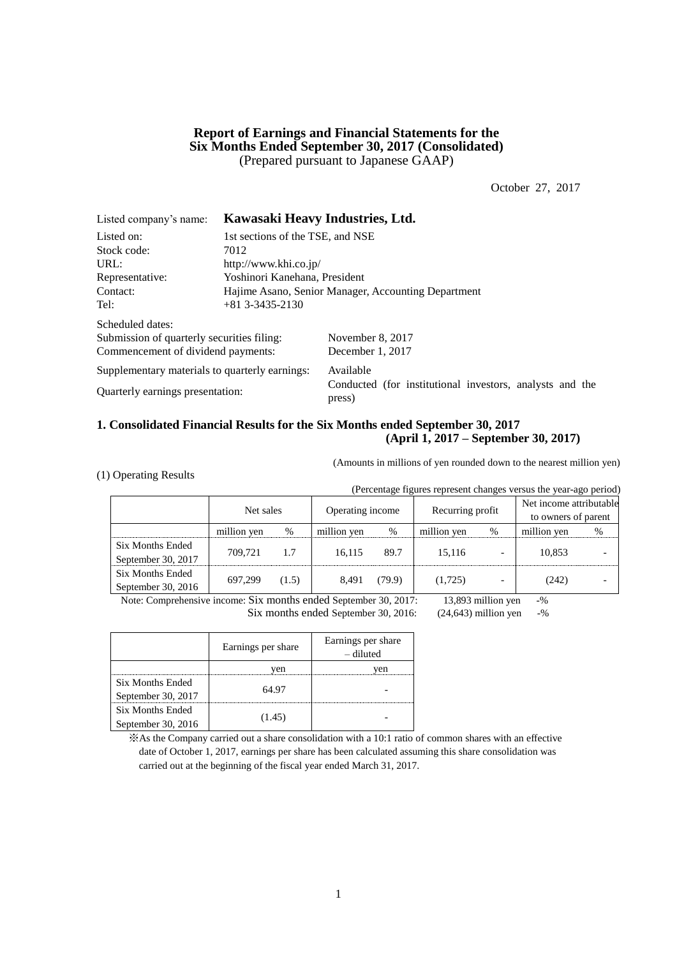## **Report of Earnings and Financial Statements for the Six Months Ended September 30, 2017 (Consolidated)** (Prepared pursuant to Japanese GAAP)

October 27, 2017

| Listed company's name:                         | Kawasaki Heavy Industries, Ltd.                     |                                                                    |  |  |  |  |
|------------------------------------------------|-----------------------------------------------------|--------------------------------------------------------------------|--|--|--|--|
| Listed on:                                     | 1st sections of the TSE, and NSE                    |                                                                    |  |  |  |  |
| Stock code:                                    | 7012                                                |                                                                    |  |  |  |  |
| URL:                                           |                                                     | http://www.khi.co.jp/                                              |  |  |  |  |
| Representative:                                | Yoshinori Kanehana, President                       |                                                                    |  |  |  |  |
| Contact:                                       | Hajime Asano, Senior Manager, Accounting Department |                                                                    |  |  |  |  |
| Tel:                                           | $+81$ 3-3435-2130                                   |                                                                    |  |  |  |  |
| Scheduled dates:                               |                                                     |                                                                    |  |  |  |  |
| Submission of quarterly securities filing:     |                                                     | November 8, 2017                                                   |  |  |  |  |
| Commencement of dividend payments:             |                                                     | December 1, 2017                                                   |  |  |  |  |
| Supplementary materials to quarterly earnings: |                                                     | Available                                                          |  |  |  |  |
| Quarterly earnings presentation:               |                                                     | Conducted (for institutional investors, analysts and the<br>press) |  |  |  |  |

### **1. Consolidated Financial Results for the Six Months ended September 30, 2017 (April 1, 2017 – September 30, 2017)**

(1) Operating Results

(Amounts in millions of yen rounded down to the nearest million yen)

| (Percentage figures represent changes versus the year-ago period) |             |       |                  |        |                  |   |                                                |      |  |
|-------------------------------------------------------------------|-------------|-------|------------------|--------|------------------|---|------------------------------------------------|------|--|
|                                                                   | Net sales   |       | Operating income |        | Recurring profit |   | Net income attributable<br>to owners of parent |      |  |
|                                                                   | million yen | %     | million yen      | %      | million yen      | % | million yen                                    | $\%$ |  |
| <b>Six Months Ended</b><br>September 30, 2017                     | 709.721     | 1.7   | 16.115           | 89.7   | 15,116           |   | 10,853                                         |      |  |
| <b>Six Months Ended</b><br>September 30, 2016                     | 697,299     | (1.5) | 8,491            | (79.9) | (1,725)          |   | (242)                                          |      |  |

Note: Comprehensive income: Six months ended September 30, 2017: 13,893 million yen -% Six months ended September 30, 2016: (24,643) million yen -%

|                    | Earnings per share | Earnings per share<br>– diluted |
|--------------------|--------------------|---------------------------------|
|                    | ven                | ven                             |
| Six Months Ended   | 64.97              |                                 |
| September 30, 2017 |                    |                                 |
| Six Months Ended   |                    |                                 |
| September 30, 2016 | (1.45)             |                                 |

※As the Company carried out a share consolidation with a 10:1 ratio of common shares with an effective date of October 1, 2017, earnings per share has been calculated assuming this share consolidation was carried out at the beginning of the fiscal year ended March 31, 2017.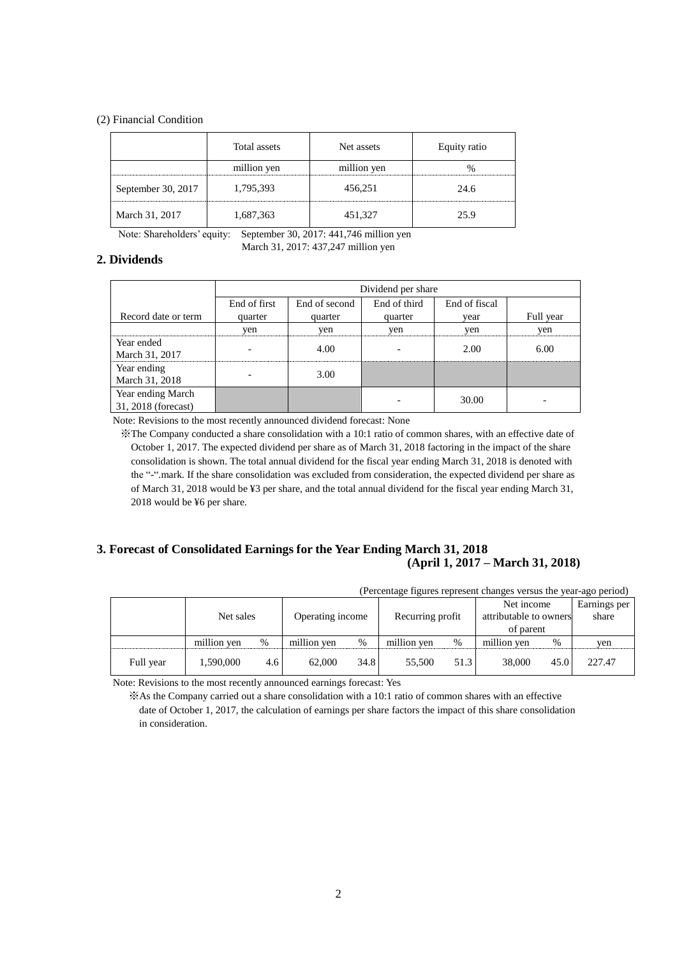#### (2) Financial Condition

|                    | Total assets | Net assets  | Equity ratio |
|--------------------|--------------|-------------|--------------|
|                    | million yen  | million yen |              |
| September 30, 2017 | 1,795,393    | 456,251     | 24.6         |
| March 31, 2017     | 1,687,363    | 451,327     | 25.9         |

Note: Shareholders' equity: September 30, 2017: 441,746 million yen

March 31, 2017: 437,247 million yen

### **2. Dividends**

|                                          | Dividend per share |               |              |               |           |  |  |  |
|------------------------------------------|--------------------|---------------|--------------|---------------|-----------|--|--|--|
|                                          | End of first       | End of second | End of third | End of fiscal |           |  |  |  |
| Record date or term                      | quarter            | quarter       | quarter      | vear          | Full year |  |  |  |
|                                          | yen                | yen           | yen          | yen           | yen       |  |  |  |
| Year ended<br>March 31, 2017             |                    | 4.00          |              | 2.00          | 6.00      |  |  |  |
| Year ending<br>March 31, 2018            |                    | 3.00          |              |               |           |  |  |  |
| Year ending March<br>31, 2018 (forecast) |                    |               |              | 30.00         |           |  |  |  |

Note: Revisions to the most recently announced dividend forecast: None

※The Company conducted a share consolidation with a 10:1 ratio of common shares, with an effective date of October 1, 2017. The expected dividend per share as of March 31, 2018 factoring in the impact of the share consolidation is shown. The total annual dividend for the fiscal year ending March 31, 2018 is denoted with the "-".mark. If the share consolidation was excluded from consideration, the expected dividend per share as of March 31, 2018 would be ¥3 per share, and the total annual dividend for the fiscal year ending March 31, 2018 would be ¥6 per share.

## **3. Forecast of Consolidated Earnings for the Year Ending March 31, 2018 (April 1, 2017 – March 31, 2018)**

| (Percentage figures represent changes versus the year-ago period) |  |
|-------------------------------------------------------------------|--|
|                                                                   |  |

|           |             |     |                  |      |                  |      | Net income             |      | Earnings per |
|-----------|-------------|-----|------------------|------|------------------|------|------------------------|------|--------------|
|           | Net sales   |     | Operating income |      | Recurring profit |      | attributable to owners |      | share        |
|           |             |     |                  |      |                  |      | of parent              |      |              |
|           | million yen | %   | million yen      | %    | million yen      | $\%$ | million yen            | %    | ven          |
| Full year | 1,590,000   | 4.6 | 62,000           | 34.8 | 55,500           | 51.3 | 38,000                 | 45.0 | 227.47       |

Note: Revisions to the most recently announced earnings forecast: Yes

※As the Company carried out a share consolidation with a 10:1 ratio of common shares with an effective date of October 1, 2017, the calculation of earnings per share factors the impact of this share consolidation in consideration.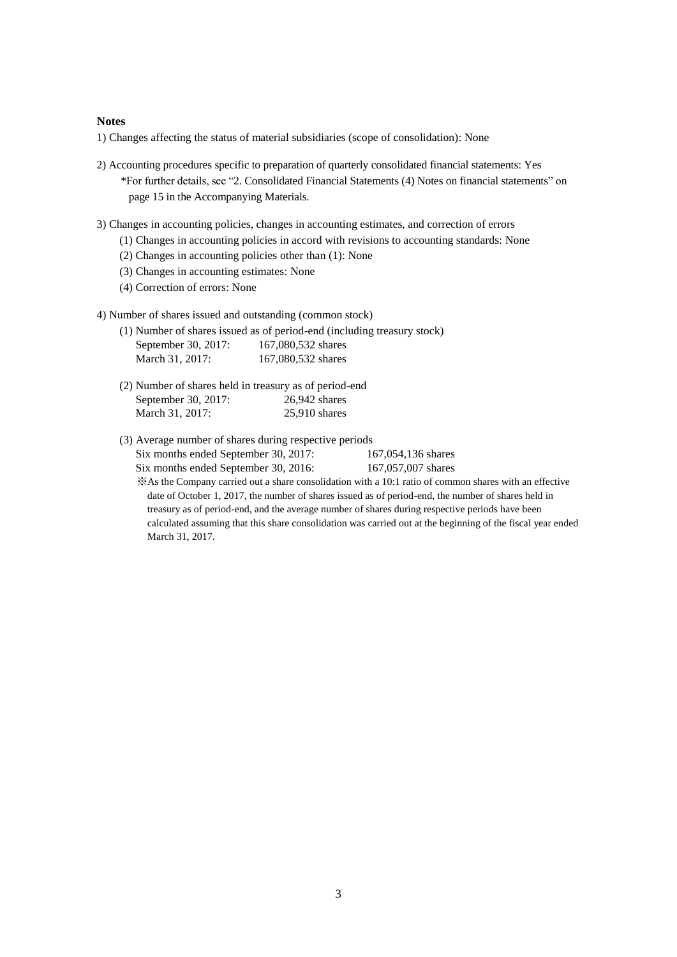#### **Notes**

1) Changes affecting the status of material subsidiaries (scope of consolidation): None

- 2) Accounting procedures specific to preparation of quarterly consolidated financial statements: Yes \*For further details, see "2. Consolidated Financial Statements (4) Notes on financial statements" on page 15 in the Accompanying Materials.
- 3) Changes in accounting policies, changes in accounting estimates, and correction of errors
	- (1) Changes in accounting policies in accord with revisions to accounting standards: None
	- (2) Changes in accounting policies other than (1): None
	- (3) Changes in accounting estimates: None
	- (4) Correction of errors: None
- 4) Number of shares issued and outstanding (common stock)

|                     | (1) Number of shares issued as of period-end (including treasury stock) |
|---------------------|-------------------------------------------------------------------------|
| September 30, 2017: | 167,080,532 shares                                                      |
| March 31, 2017:     | 167,080,532 shares                                                      |

- (2) Number of shares held in treasury as of period-end September 30, 2017: 26,942 shares March 31, 2017: 25,910 shares
- (3) Average number of shares during respective periods Six months ended September 30, 2017: 167,054,136 shares Six months ended September 30, 2016: 167,057,007 shares
	- ※As the Company carried out a share consolidation with a 10:1 ratio of common shares with an effective date of October 1, 2017, the number of shares issued as of period-end, the number of shares held in treasury as of period-end, and the average number of shares during respective periods have been calculated assuming that this share consolidation was carried out at the beginning of the fiscal year ended March 31, 2017.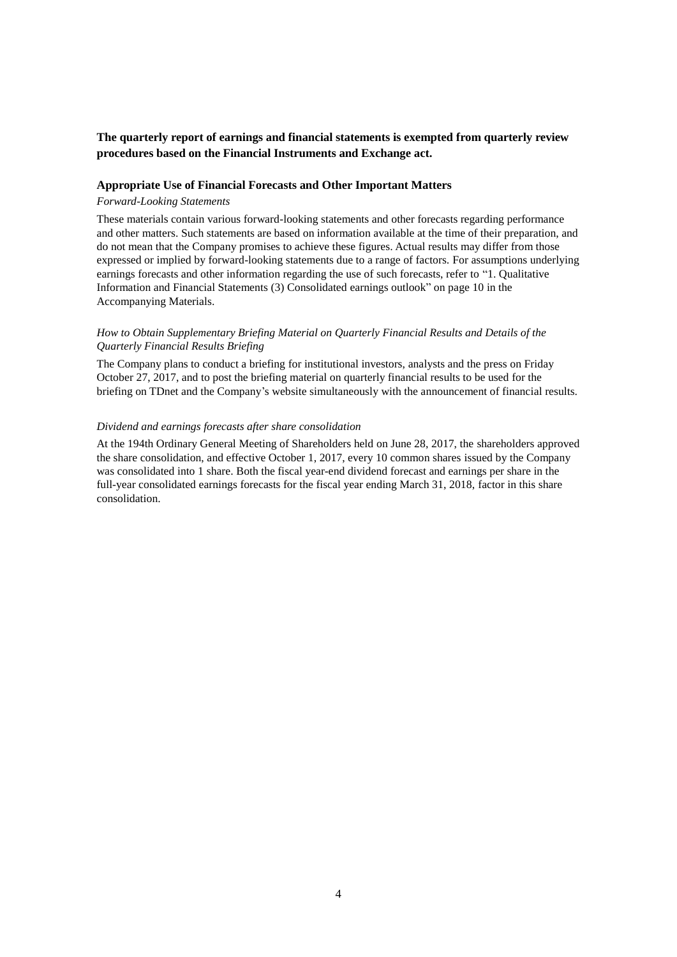# **The quarterly report of earnings and financial statements is exempted from quarterly review procedures based on the Financial Instruments and Exchange act.**

### **Appropriate Use of Financial Forecasts and Other Important Matters**

### *Forward-Looking Statements*

These materials contain various forward-looking statements and other forecasts regarding performance and other matters. Such statements are based on information available at the time of their preparation, and do not mean that the Company promises to achieve these figures. Actual results may differ from those expressed or implied by forward-looking statements due to a range of factors. For assumptions underlying earnings forecasts and other information regarding the use of such forecasts, refer to "1. Qualitative Information and Financial Statements (3) Consolidated earnings outlook" on page 10 in the Accompanying Materials.

### *How to Obtain Supplementary Briefing Material on Quarterly Financial Results and Details of the Quarterly Financial Results Briefing*

The Company plans to conduct a briefing for institutional investors, analysts and the press on Friday October 27, 2017, and to post the briefing material on quarterly financial results to be used for the briefing on TDnet and the Company's website simultaneously with the announcement of financial results.

#### *Dividend and earnings forecasts after share consolidation*

At the 194th Ordinary General Meeting of Shareholders held on June 28, 2017, the shareholders approved the share consolidation, and effective October 1, 2017, every 10 common shares issued by the Company was consolidated into 1 share. Both the fiscal year-end dividend forecast and earnings per share in the full-year consolidated earnings forecasts for the fiscal year ending March 31, 2018, factor in this share consolidation.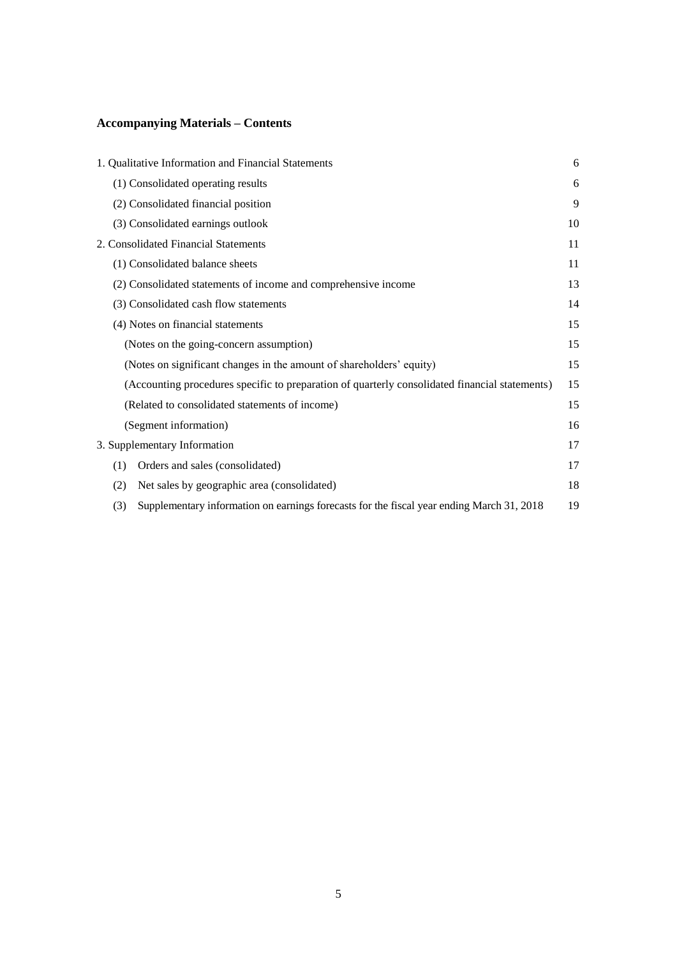# **Accompanying Materials – Contents**

|     | 1. Qualitative Information and Financial Statements                                            | 6  |
|-----|------------------------------------------------------------------------------------------------|----|
|     | (1) Consolidated operating results                                                             | 6  |
|     | (2) Consolidated financial position                                                            | 9  |
|     | (3) Consolidated earnings outlook                                                              | 10 |
|     | 2. Consolidated Financial Statements                                                           | 11 |
|     | (1) Consolidated balance sheets                                                                | 11 |
|     | (2) Consolidated statements of income and comprehensive income                                 | 13 |
|     | (3) Consolidated cash flow statements                                                          | 14 |
|     | (4) Notes on financial statements                                                              | 15 |
|     | (Notes on the going-concern assumption)                                                        | 15 |
|     | (Notes on significant changes in the amount of shareholders' equity)                           | 15 |
|     | (Accounting procedures specific to preparation of quarterly consolidated financial statements) | 15 |
|     | (Related to consolidated statements of income)                                                 | 15 |
|     | (Segment information)                                                                          | 16 |
|     | 3. Supplementary Information                                                                   | 17 |
| (1) | Orders and sales (consolidated)                                                                | 17 |
| (2) | Net sales by geographic area (consolidated)                                                    | 18 |
| (3) | Supplementary information on earnings forecasts for the fiscal year ending March 31, 2018      | 19 |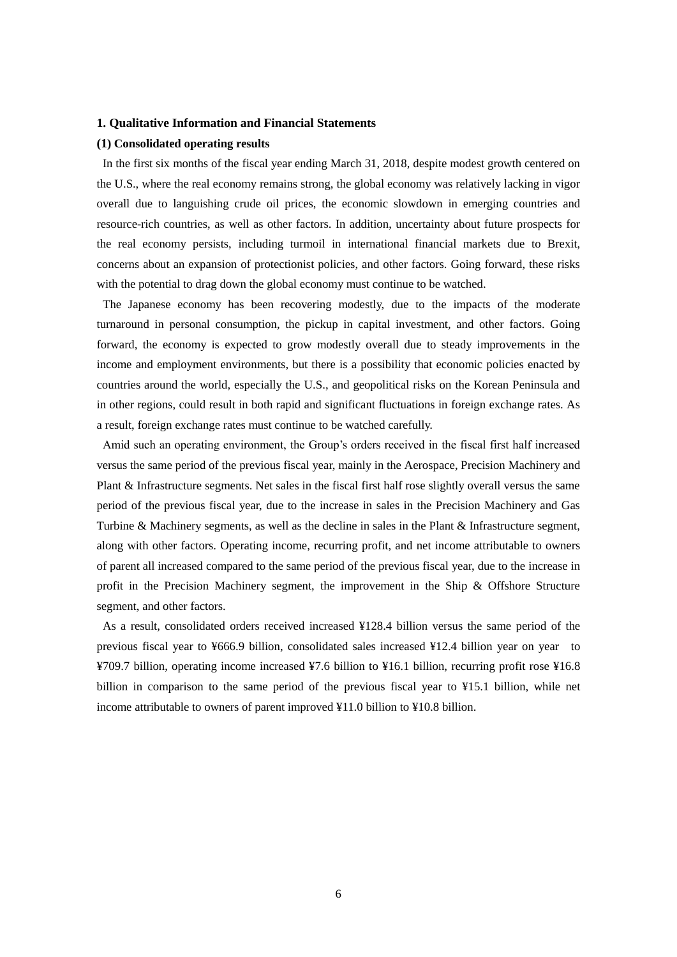#### **1. Qualitative Information and Financial Statements**

#### **(1) Consolidated operating results**

In the first six months of the fiscal year ending March 31, 2018, despite modest growth centered on the U.S., where the real economy remains strong, the global economy was relatively lacking in vigor overall due to languishing crude oil prices, the economic slowdown in emerging countries and resource-rich countries, as well as other factors. In addition, uncertainty about future prospects for the real economy persists, including turmoil in international financial markets due to Brexit, concerns about an expansion of protectionist policies, and other factors. Going forward, these risks with the potential to drag down the global economy must continue to be watched.

The Japanese economy has been recovering modestly, due to the impacts of the moderate turnaround in personal consumption, the pickup in capital investment, and other factors. Going forward, the economy is expected to grow modestly overall due to steady improvements in the income and employment environments, but there is a possibility that economic policies enacted by countries around the world, especially the U.S., and geopolitical risks on the Korean Peninsula and in other regions, could result in both rapid and significant fluctuations in foreign exchange rates. As a result, foreign exchange rates must continue to be watched carefully.

Amid such an operating environment, the Group's orders received in the fiscal first half increased versus the same period of the previous fiscal year, mainly in the Aerospace, Precision Machinery and Plant & Infrastructure segments. Net sales in the fiscal first half rose slightly overall versus the same period of the previous fiscal year, due to the increase in sales in the Precision Machinery and Gas Turbine & Machinery segments, as well as the decline in sales in the Plant & Infrastructure segment, along with other factors. Operating income, recurring profit, and net income attributable to owners of parent all increased compared to the same period of the previous fiscal year, due to the increase in profit in the Precision Machinery segment, the improvement in the Ship & Offshore Structure segment, and other factors.

As a result, consolidated orders received increased ¥128.4 billion versus the same period of the previous fiscal year to ¥666.9 billion, consolidated sales increased ¥12.4 billion year on year to ¥709.7 billion, operating income increased ¥7.6 billion to ¥16.1 billion, recurring profit rose ¥16.8 billion in comparison to the same period of the previous fiscal year to ¥15.1 billion, while net income attributable to owners of parent improved ¥11.0 billion to ¥10.8 billion.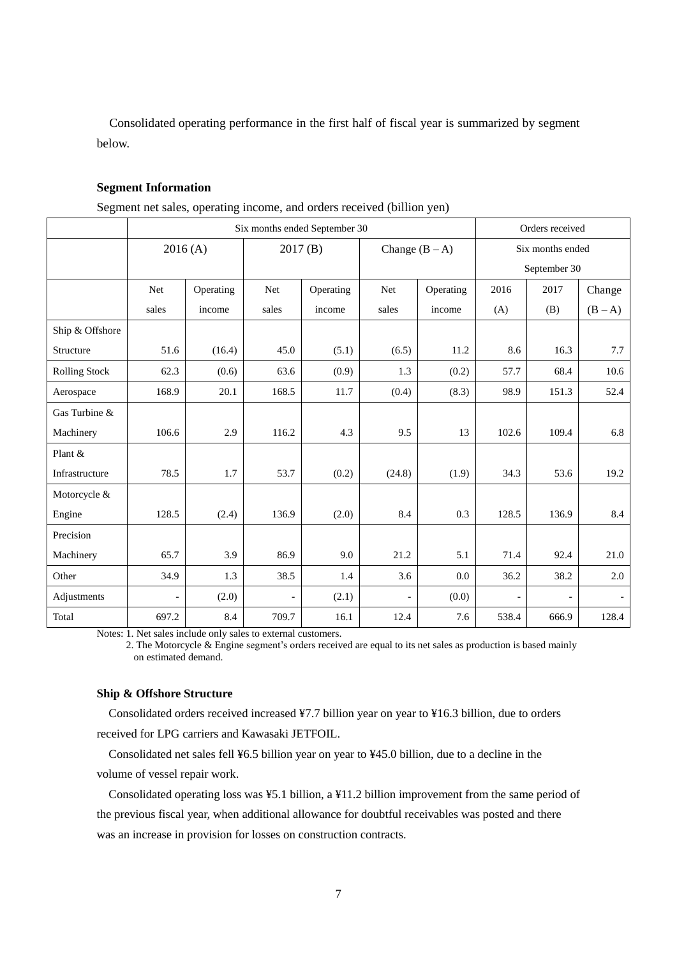Consolidated operating performance in the first half of fiscal year is summarized by segment below.

### **Segment Information**

Segment net sales, operating income, and orders received (billion yen)

|                      | Six months ended September 30          |           |       |                  |                          |           |                          | Orders received |         |  |
|----------------------|----------------------------------------|-----------|-------|------------------|--------------------------|-----------|--------------------------|-----------------|---------|--|
|                      | 2016(A)<br>2017(B)<br>Change $(B - A)$ |           |       | Six months ended |                          |           |                          |                 |         |  |
|                      |                                        |           |       |                  |                          |           |                          | September 30    |         |  |
|                      | <b>Net</b>                             | Operating | Net   | Operating        | <b>Net</b>               | Operating | 2016                     | 2017            | Change  |  |
|                      | sales                                  | income    | sales | income           | sales                    | income    | (A)                      | (B)             | $(B-A)$ |  |
| Ship & Offshore      |                                        |           |       |                  |                          |           |                          |                 |         |  |
| Structure            | 51.6                                   | (16.4)    | 45.0  | (5.1)            | (6.5)                    | 11.2      | 8.6                      | 16.3            | 7.7     |  |
| <b>Rolling Stock</b> | 62.3                                   | (0.6)     | 63.6  | (0.9)            | 1.3                      | (0.2)     | 57.7                     | 68.4            | 10.6    |  |
| Aerospace            | 168.9                                  | 20.1      | 168.5 | 11.7             | (0.4)                    | (8.3)     | 98.9                     | 151.3           | 52.4    |  |
| Gas Turbine &        |                                        |           |       |                  |                          |           |                          |                 |         |  |
| Machinery            | 106.6                                  | 2.9       | 116.2 | 4.3              | 9.5                      | 13        | 102.6                    | 109.4           | 6.8     |  |
| Plant &              |                                        |           |       |                  |                          |           |                          |                 |         |  |
| Infrastructure       | 78.5                                   | 1.7       | 53.7  | (0.2)            | (24.8)                   | (1.9)     | 34.3                     | 53.6            | 19.2    |  |
| Motorcycle &         |                                        |           |       |                  |                          |           |                          |                 |         |  |
| Engine               | 128.5                                  | (2.4)     | 136.9 | (2.0)            | 8.4                      | 0.3       | 128.5                    | 136.9           | 8.4     |  |
| Precision            |                                        |           |       |                  |                          |           |                          |                 |         |  |
| Machinery            | 65.7                                   | 3.9       | 86.9  | 9.0              | 21.2                     | 5.1       | 71.4                     | 92.4            | 21.0    |  |
| Other                | 34.9                                   | 1.3       | 38.5  | 1.4              | 3.6                      | 0.0       | 36.2                     | 38.2            | 2.0     |  |
| Adjustments          | $\overline{\phantom{a}}$               | (2.0)     |       | (2.1)            | $\overline{\phantom{0}}$ | (0.0)     | $\overline{\phantom{a}}$ |                 |         |  |
| Total                | 697.2                                  | 8.4       | 709.7 | 16.1             | 12.4                     | 7.6       | 538.4                    | 666.9           | 128.4   |  |

Notes: 1. Net sales include only sales to external customers.

2. The Motorcycle & Engine segment's orders received are equal to its net sales as production is based mainly on estimated demand.

### **Ship & Offshore Structure**

Consolidated orders received increased ¥7.7 billion year on year to ¥16.3 billion, due to orders received for LPG carriers and Kawasaki JETFOIL.

Consolidated net sales fell ¥6.5 billion year on year to ¥45.0 billion, due to a decline in the volume of vessel repair work.

Consolidated operating loss was ¥5.1 billion, a ¥11.2 billion improvement from the same period of the previous fiscal year, when additional allowance for doubtful receivables was posted and there was an increase in provision for losses on construction contracts.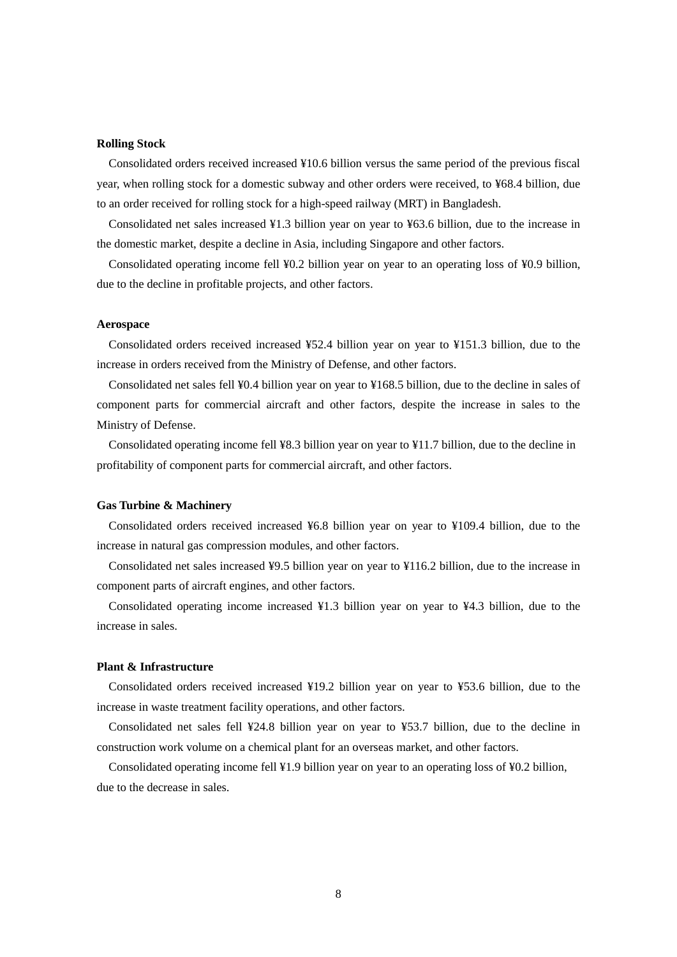#### **Rolling Stock**

Consolidated orders received increased ¥10.6 billion versus the same period of the previous fiscal year, when rolling stock for a domestic subway and other orders were received, to ¥68.4 billion, due to an order received for rolling stock for a high-speed railway (MRT) in Bangladesh.

Consolidated net sales increased ¥1.3 billion year on year to ¥63.6 billion, due to the increase in the domestic market, despite a decline in Asia, including Singapore and other factors.

Consolidated operating income fell ¥0.2 billion year on year to an operating loss of ¥0.9 billion, due to the decline in profitable projects, and other factors.

#### **Aerospace**

Consolidated orders received increased ¥52.4 billion year on year to ¥151.3 billion, due to the increase in orders received from the Ministry of Defense, and other factors.

Consolidated net sales fell ¥0.4 billion year on year to ¥168.5 billion, due to the decline in sales of component parts for commercial aircraft and other factors, despite the increase in sales to the Ministry of Defense.

Consolidated operating income fell ¥8.3 billion year on year to ¥11.7 billion, due to the decline in profitability of component parts for commercial aircraft, and other factors.

### **Gas Turbine & Machinery**

Consolidated orders received increased ¥6.8 billion year on year to ¥109.4 billion, due to the increase in natural gas compression modules, and other factors.

Consolidated net sales increased ¥9.5 billion year on year to ¥116.2 billion, due to the increase in component parts of aircraft engines, and other factors.

Consolidated operating income increased ¥1.3 billion year on year to ¥4.3 billion, due to the increase in sales.

#### **Plant & Infrastructure**

Consolidated orders received increased ¥19.2 billion year on year to ¥53.6 billion, due to the increase in waste treatment facility operations, and other factors.

Consolidated net sales fell ¥24.8 billion year on year to ¥53.7 billion, due to the decline in construction work volume on a chemical plant for an overseas market, and other factors.

Consolidated operating income fell ¥1.9 billion year on year to an operating loss of ¥0.2 billion, due to the decrease in sales.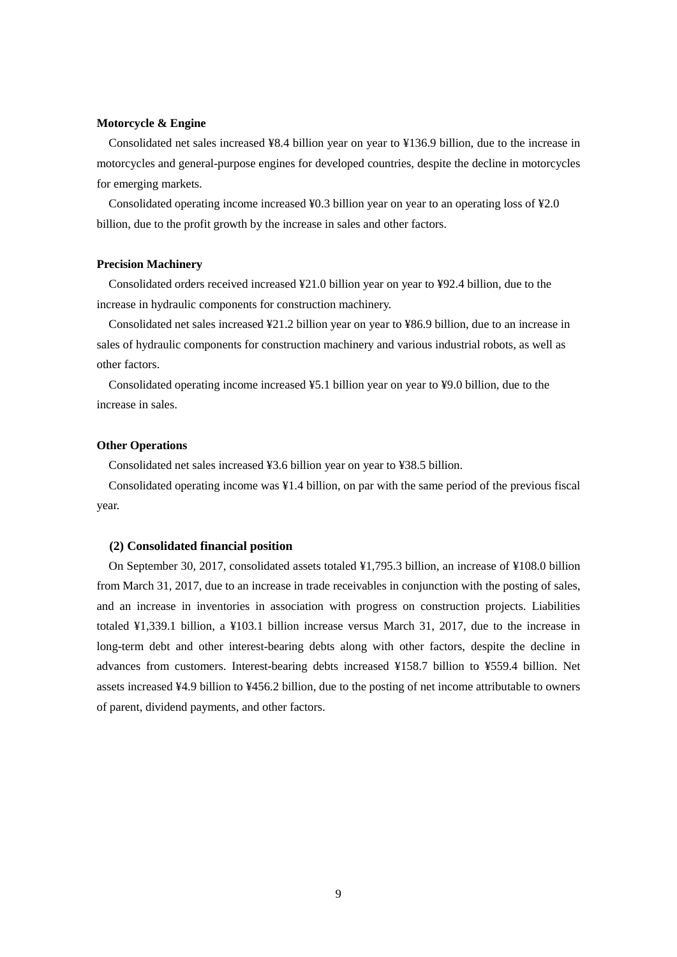### **Motorcycle & Engine**

Consolidated net sales increased ¥8.4 billion year on year to ¥136.9 billion, due to the increase in motorcycles and general-purpose engines for developed countries, despite the decline in motorcycles for emerging markets.

Consolidated operating income increased ¥0.3 billion year on year to an operating loss of ¥2.0 billion, due to the profit growth by the increase in sales and other factors.

#### **Precision Machinery**

Consolidated orders received increased ¥21.0 billion year on year to ¥92.4 billion, due to the increase in hydraulic components for construction machinery.

Consolidated net sales increased ¥21.2 billion year on year to ¥86.9 billion, due to an increase in sales of hydraulic components for construction machinery and various industrial robots, as well as other factors.

Consolidated operating income increased ¥5.1 billion year on year to ¥9.0 billion, due to the increase in sales.

### **Other Operations**

Consolidated net sales increased ¥3.6 billion year on year to ¥38.5 billion.

Consolidated operating income was ¥1.4 billion, on par with the same period of the previous fiscal year.

#### **(2) Consolidated financial position**

On September 30, 2017, consolidated assets totaled ¥1,795.3 billion, an increase of ¥108.0 billion from March 31, 2017, due to an increase in trade receivables in conjunction with the posting of sales, and an increase in inventories in association with progress on construction projects. Liabilities totaled ¥1,339.1 billion, a ¥103.1 billion increase versus March 31, 2017, due to the increase in long-term debt and other interest-bearing debts along with other factors, despite the decline in advances from customers. Interest-bearing debts increased ¥158.7 billion to ¥559.4 billion. Net assets increased ¥4.9 billion to ¥456.2 billion, due to the posting of net income attributable to owners of parent, dividend payments, and other factors.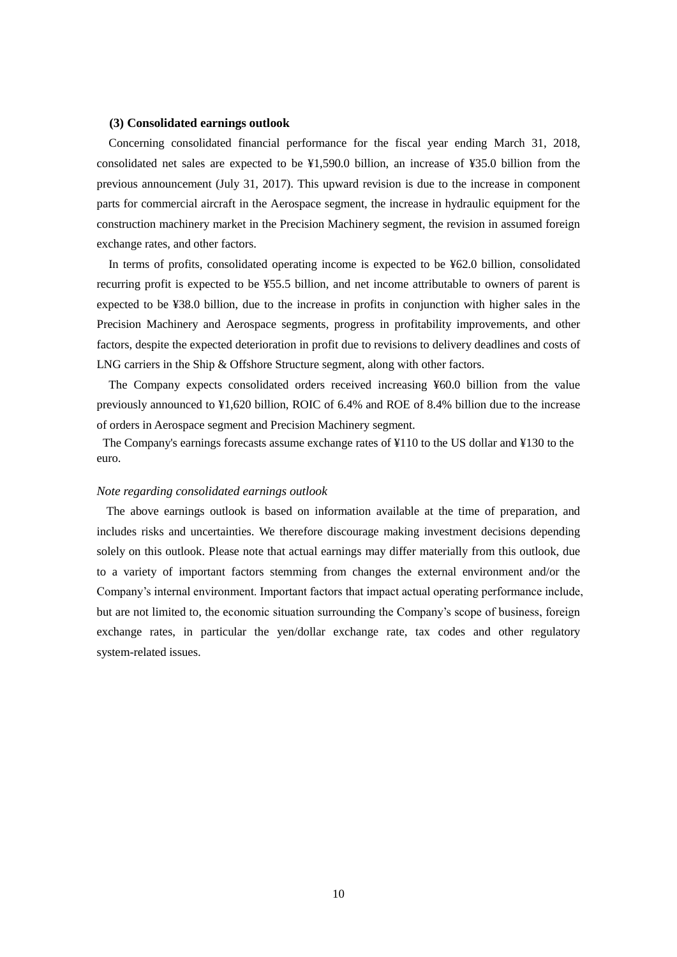### **(3) Consolidated earnings outlook**

Concerning consolidated financial performance for the fiscal year ending March 31, 2018, consolidated net sales are expected to be ¥1,590.0 billion, an increase of ¥35.0 billion from the previous announcement (July 31, 2017). This upward revision is due to the increase in component parts for commercial aircraft in the Aerospace segment, the increase in hydraulic equipment for the construction machinery market in the Precision Machinery segment, the revision in assumed foreign exchange rates, and other factors.

In terms of profits, consolidated operating income is expected to be ¥62.0 billion, consolidated recurring profit is expected to be ¥55.5 billion, and net income attributable to owners of parent is expected to be ¥38.0 billion, due to the increase in profits in conjunction with higher sales in the Precision Machinery and Aerospace segments, progress in profitability improvements, and other factors, despite the expected deterioration in profit due to revisions to delivery deadlines and costs of LNG carriers in the Ship & Offshore Structure segment, along with other factors.

The Company expects consolidated orders received increasing ¥60.0 billion from the value previously announced to ¥1,620 billion, ROIC of 6.4% and ROE of 8.4% billion due to the increase of orders in Aerospace segment and Precision Machinery segment.

The Company's earnings forecasts assume exchange rates of ¥110 to the US dollar and ¥130 to the euro.

#### *Note regarding consolidated earnings outlook*

The above earnings outlook is based on information available at the time of preparation, and includes risks and uncertainties. We therefore discourage making investment decisions depending solely on this outlook. Please note that actual earnings may differ materially from this outlook, due to a variety of important factors stemming from changes the external environment and/or the Company's internal environment. Important factors that impact actual operating performance include, but are not limited to, the economic situation surrounding the Company's scope of business, foreign exchange rates, in particular the yen/dollar exchange rate, tax codes and other regulatory system-related issues.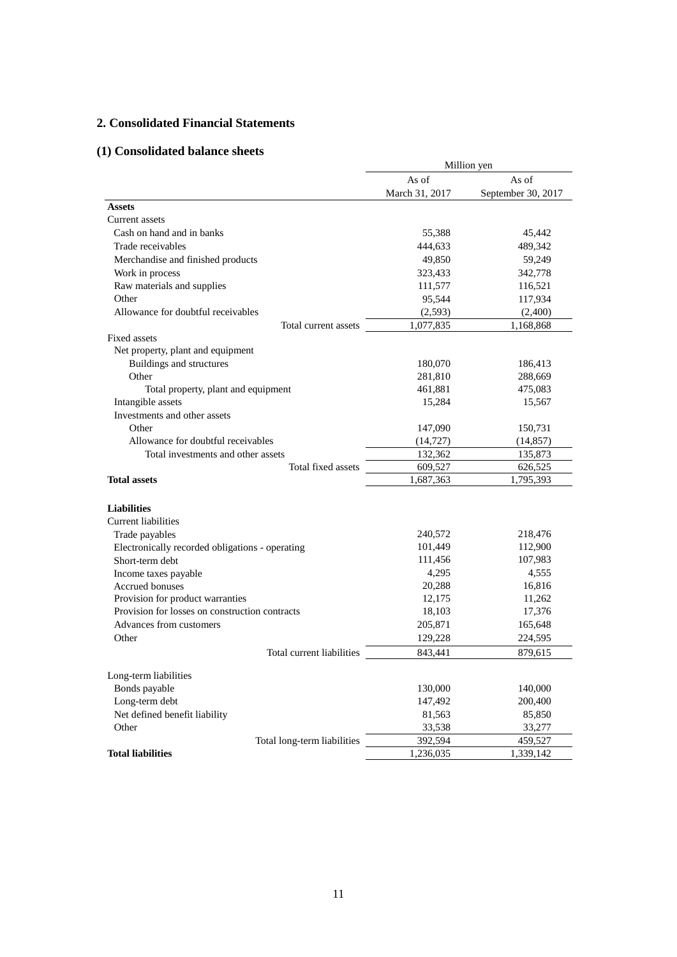# **2. Consolidated Financial Statements**

# **(1) Consolidated balance sheets**

|                                                 | Million yen    |                    |  |  |
|-------------------------------------------------|----------------|--------------------|--|--|
|                                                 | As of          | As of              |  |  |
|                                                 | March 31, 2017 | September 30, 2017 |  |  |
| <b>Assets</b>                                   |                |                    |  |  |
| Current assets                                  |                |                    |  |  |
| Cash on hand and in banks                       | 55,388         | 45,442             |  |  |
| Trade receivables                               | 444,633        | 489,342            |  |  |
| Merchandise and finished products               | 49,850         | 59,249             |  |  |
| Work in process                                 | 323,433        | 342,778            |  |  |
| Raw materials and supplies                      | 111,577        | 116,521            |  |  |
| Other                                           | 95,544         | 117,934            |  |  |
| Allowance for doubtful receivables              | (2,593)        | (2,400)            |  |  |
| Total current assets                            | 1,077,835      | 1,168,868          |  |  |
| Fixed assets                                    |                |                    |  |  |
| Net property, plant and equipment               |                |                    |  |  |
| Buildings and structures                        | 180,070        | 186,413            |  |  |
| Other                                           | 281,810        | 288,669            |  |  |
| Total property, plant and equipment             | 461,881        | 475,083            |  |  |
| Intangible assets                               | 15,284         | 15,567             |  |  |
| Investments and other assets                    |                |                    |  |  |
| Other                                           | 147,090        | 150,731            |  |  |
| Allowance for doubtful receivables              | (14, 727)      | (14, 857)          |  |  |
| Total investments and other assets              | 132,362        | 135,873            |  |  |
| Total fixed assets                              | 609,527        | 626,525            |  |  |
| <b>Total assets</b>                             | 1,687,363      | 1,795,393          |  |  |
|                                                 |                |                    |  |  |
| <b>Liabilities</b>                              |                |                    |  |  |
| <b>Current liabilities</b>                      |                |                    |  |  |
| Trade payables                                  | 240,572        | 218,476            |  |  |
| Electronically recorded obligations - operating | 101,449        | 112,900            |  |  |
| Short-term debt                                 | 111,456        | 107,983            |  |  |
| Income taxes payable                            | 4,295          | 4,555              |  |  |
| Accrued bonuses                                 | 20,288         | 16,816             |  |  |
| Provision for product warranties                | 12,175         | 11,262             |  |  |
| Provision for losses on construction contracts  | 18,103         | 17,376             |  |  |
| Advances from customers                         | 205,871        | 165,648            |  |  |
| Other                                           | 129,228        | 224,595            |  |  |
| Total current liabilities                       | 843,441        | 879,615            |  |  |
|                                                 |                |                    |  |  |
| Long-term liabilities                           |                |                    |  |  |
| Bonds payable                                   | 130,000        | 140,000            |  |  |
| Long-term debt                                  | 147,492        | 200,400            |  |  |
| Net defined benefit liability                   | 81,563         | 85,850             |  |  |
| Other                                           | 33,538         | 33,277             |  |  |
| Total long-term liabilities                     | 392,594        | 459,527            |  |  |
| <b>Total liabilities</b>                        | 1,236,035      | 1,339,142          |  |  |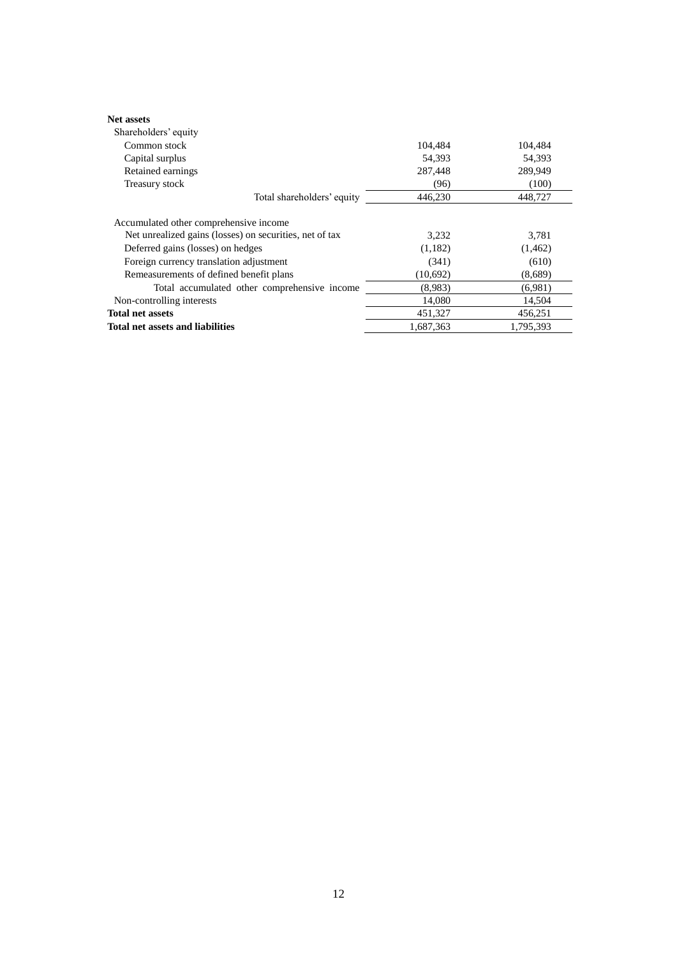| <b>Net assets</b>                                       |           |           |
|---------------------------------------------------------|-----------|-----------|
| Shareholders' equity                                    |           |           |
| Common stock                                            | 104,484   | 104,484   |
| Capital surplus                                         | 54,393    | 54,393    |
| Retained earnings                                       | 287,448   | 289,949   |
| Treasury stock                                          | (96)      | (100)     |
| Total shareholders' equity                              | 446,230   | 448,727   |
| Accumulated other comprehensive income                  |           |           |
| Net unrealized gains (losses) on securities, net of tax | 3,232     | 3,781     |
| Deferred gains (losses) on hedges                       | (1,182)   | (1, 462)  |
| Foreign currency translation adjustment                 | (341)     | (610)     |
| Remeasurements of defined benefit plans                 | (10,692)  | (8,689)   |
| Total accumulated other comprehensive income            | (8.983)   | (6,981)   |
| Non-controlling interests                               | 14,080    | 14,504    |
| <b>Total net assets</b>                                 | 451,327   | 456,251   |
| Total net assets and liabilities                        | 1,687,363 | 1,795,393 |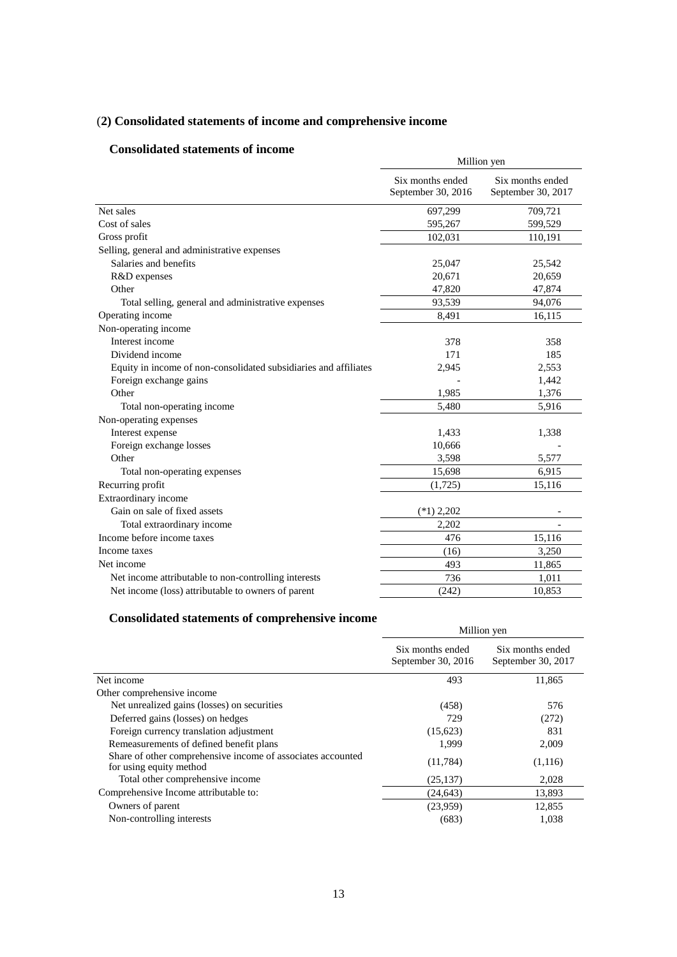# (**2) Consolidated statements of income and comprehensive income**

# **Consolidated statements of income**

|                                                                  | Million yen                            |                                        |  |  |
|------------------------------------------------------------------|----------------------------------------|----------------------------------------|--|--|
|                                                                  | Six months ended<br>September 30, 2016 | Six months ended<br>September 30, 2017 |  |  |
| Net sales                                                        | 697,299                                | 709,721                                |  |  |
| Cost of sales                                                    | 595,267                                | 599,529                                |  |  |
| Gross profit                                                     | 102,031                                | 110,191                                |  |  |
| Selling, general and administrative expenses                     |                                        |                                        |  |  |
| Salaries and benefits                                            | 25,047                                 | 25,542                                 |  |  |
| R&D expenses                                                     | 20,671                                 | 20,659                                 |  |  |
| Other                                                            | 47,820                                 | 47,874                                 |  |  |
| Total selling, general and administrative expenses               | 93,539                                 | 94,076                                 |  |  |
| Operating income                                                 | 8,491                                  | 16,115                                 |  |  |
| Non-operating income                                             |                                        |                                        |  |  |
| Interest income                                                  | 378                                    | 358                                    |  |  |
| Dividend income                                                  | 171                                    | 185                                    |  |  |
| Equity in income of non-consolidated subsidiaries and affiliates | 2,945                                  | 2,553                                  |  |  |
| Foreign exchange gains                                           |                                        | 1,442                                  |  |  |
| Other                                                            | 1,985                                  | 1,376                                  |  |  |
| Total non-operating income                                       | 5,480                                  | 5,916                                  |  |  |
| Non-operating expenses                                           |                                        |                                        |  |  |
| Interest expense                                                 | 1,433                                  | 1,338                                  |  |  |
| Foreign exchange losses                                          | 10,666                                 |                                        |  |  |
| Other                                                            | 3,598                                  | 5,577                                  |  |  |
| Total non-operating expenses                                     | 15,698                                 | 6,915                                  |  |  |
| Recurring profit                                                 | (1,725)                                | 15,116                                 |  |  |
| Extraordinary income                                             |                                        |                                        |  |  |
| Gain on sale of fixed assets                                     | $(*1)$ 2,202                           |                                        |  |  |
| Total extraordinary income                                       | 2.202                                  |                                        |  |  |
| Income before income taxes                                       | 476                                    | 15,116                                 |  |  |
| Income taxes                                                     | (16)                                   | 3,250                                  |  |  |
| Net income                                                       | 493                                    | 11,865                                 |  |  |
| Net income attributable to non-controlling interests             | 736                                    | 1,011                                  |  |  |
| Net income (loss) attributable to owners of parent               | (242)                                  | 10,853                                 |  |  |

# **Consolidated statements of comprehensive income**

|                                                                                        | Million yen                            |                                        |  |
|----------------------------------------------------------------------------------------|----------------------------------------|----------------------------------------|--|
|                                                                                        | Six months ended<br>September 30, 2016 | Six months ended<br>September 30, 2017 |  |
| Net income                                                                             | 493                                    | 11,865                                 |  |
| Other comprehensive income                                                             |                                        |                                        |  |
| Net unrealized gains (losses) on securities                                            | (458)                                  | 576                                    |  |
| Deferred gains (losses) on hedges                                                      | 729                                    | (272)                                  |  |
| Foreign currency translation adjustment                                                | (15,623)                               | 831                                    |  |
| Remeasurements of defined benefit plans                                                | 1,999                                  | 2,009                                  |  |
| Share of other comprehensive income of associates accounted<br>for using equity method | (11, 784)                              | (1,116)                                |  |
| Total other comprehensive income                                                       | (25, 137)                              | 2,028                                  |  |
| Comprehensive Income attributable to:                                                  | (24, 643)                              | 13,893                                 |  |
| Owners of parent                                                                       | (23,959)                               | 12,855                                 |  |
| Non-controlling interests                                                              | (683)                                  | 1,038                                  |  |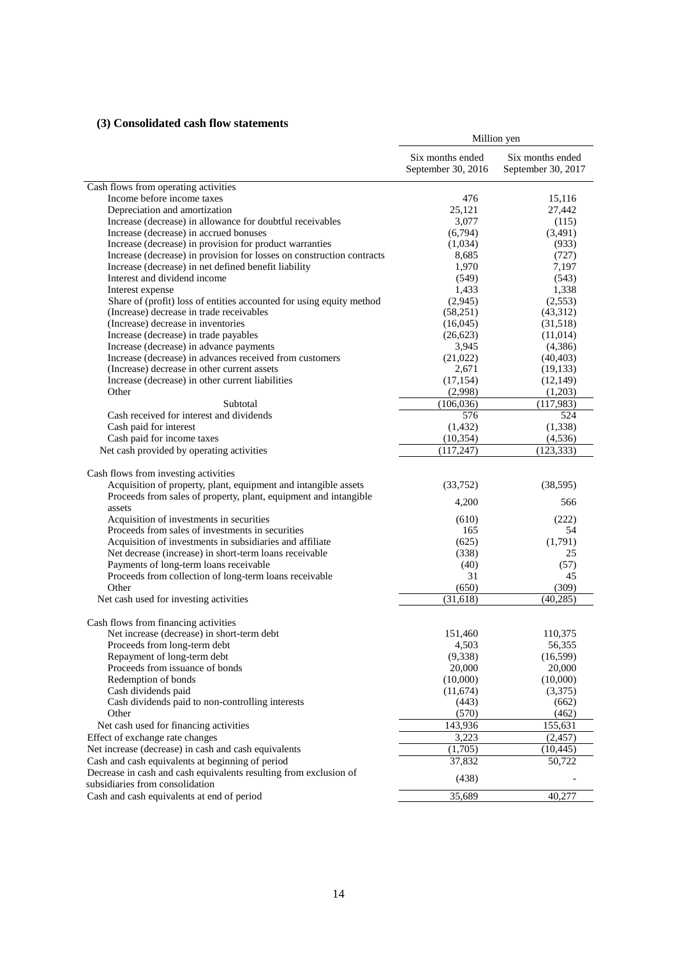# **(3) Consolidated cash flow statements**

|                                                                       | Million yen                            |                                        |  |
|-----------------------------------------------------------------------|----------------------------------------|----------------------------------------|--|
|                                                                       | Six months ended<br>September 30, 2016 | Six months ended<br>September 30, 2017 |  |
| Cash flows from operating activities                                  |                                        |                                        |  |
| Income before income taxes                                            | 476                                    | 15,116                                 |  |
| Depreciation and amortization                                         | 25,121                                 | 27,442                                 |  |
| Increase (decrease) in allowance for doubtful receivables             | 3,077                                  | (115)                                  |  |
| Increase (decrease) in accrued bonuses                                | (6,794)                                | (3,491)                                |  |
| Increase (decrease) in provision for product warranties               | (1,034)                                | (933)                                  |  |
| Increase (decrease) in provision for losses on construction contracts | 8,685                                  | (727)                                  |  |
| Increase (decrease) in net defined benefit liability                  | 1,970                                  | 7,197                                  |  |
| Interest and dividend income                                          | (549)                                  | (543)                                  |  |
| Interest expense                                                      | 1,433                                  | 1,338                                  |  |
| Share of (profit) loss of entities accounted for using equity method  | (2,945)                                | (2,553)                                |  |
| (Increase) decrease in trade receivables                              | (58,251)                               | (43,312)                               |  |
| (Increase) decrease in inventories                                    | (16,045)                               | (31,518)                               |  |
| Increase (decrease) in trade payables                                 | (26,623)                               | (11,014)                               |  |
| Increase (decrease) in advance payments                               | 3,945                                  | (4,386)                                |  |
| Increase (decrease) in advances received from customers               | (21,022)                               | (40, 403)                              |  |
| (Increase) decrease in other current assets                           | 2,671                                  | (19, 133)                              |  |
| Increase (decrease) in other current liabilities                      | (17, 154)                              | (12, 149)                              |  |
| Other                                                                 | (2,998)                                | (1,203)                                |  |
| Subtotal                                                              | (106, 036)                             | (117,983)                              |  |
| Cash received for interest and dividends                              | 576                                    | 524                                    |  |
| Cash paid for interest                                                | (1, 432)                               | (1, 338)                               |  |
| Cash paid for income taxes                                            | (10, 354)                              | (4, 536)                               |  |
| Net cash provided by operating activities                             | (117, 247)                             | (123, 333)                             |  |
| Cash flows from investing activities                                  |                                        |                                        |  |
| Acquisition of property, plant, equipment and intangible assets       | (33,752)                               | (38, 595)                              |  |
| Proceeds from sales of property, plant, equipment and intangible      |                                        |                                        |  |
| assets                                                                | 4,200                                  | 566                                    |  |
| Acquisition of investments in securities                              | (610)                                  | (222)                                  |  |
| Proceeds from sales of investments in securities                      | 165                                    | 54                                     |  |
| Acquisition of investments in subsidiaries and affiliate              | (625)                                  | (1,791)                                |  |
| Net decrease (increase) in short-term loans receivable                | (338)                                  | 25                                     |  |
| Payments of long-term loans receivable                                | (40)                                   | (57)                                   |  |
| Proceeds from collection of long-term loans receivable                | 31                                     | 45                                     |  |
| Other                                                                 | (650)                                  | (309)                                  |  |
| Net cash used for investing activities                                | (31,618)                               | (40, 285)                              |  |
| Cash flows from financing activities                                  |                                        |                                        |  |
| Net increase (decrease) in short-term debt                            | 151,460                                | 110,375                                |  |
| Proceeds from long-term debt                                          | 4,503                                  | 56,355                                 |  |
| Repayment of long-term debt                                           | (9, 338)                               | (16, 599)                              |  |
| Proceeds from issuance of bonds                                       | 20,000                                 | 20,000                                 |  |
| Redemption of bonds                                                   | (10,000)                               | (10,000)                               |  |
| Cash dividends paid                                                   | (11,674)                               | (3,375)                                |  |
| Cash dividends paid to non-controlling interests                      | (443)                                  | (662)                                  |  |
| Other                                                                 | (570)                                  | (462)                                  |  |
| Net cash used for financing activities                                | 143,936                                | 155,631                                |  |
| Effect of exchange rate changes                                       | 3,223                                  | (2, 457)                               |  |
| Net increase (decrease) in cash and cash equivalents                  | (1,705)                                | (10, 445)                              |  |
| Cash and cash equivalents at beginning of period                      | 37,832                                 | 50,722                                 |  |
| Decrease in cash and cash equivalents resulting from exclusion of     |                                        |                                        |  |
| subsidiaries from consolidation                                       | (438)                                  |                                        |  |
| Cash and cash equivalents at end of period                            | 35,689                                 | 40,277                                 |  |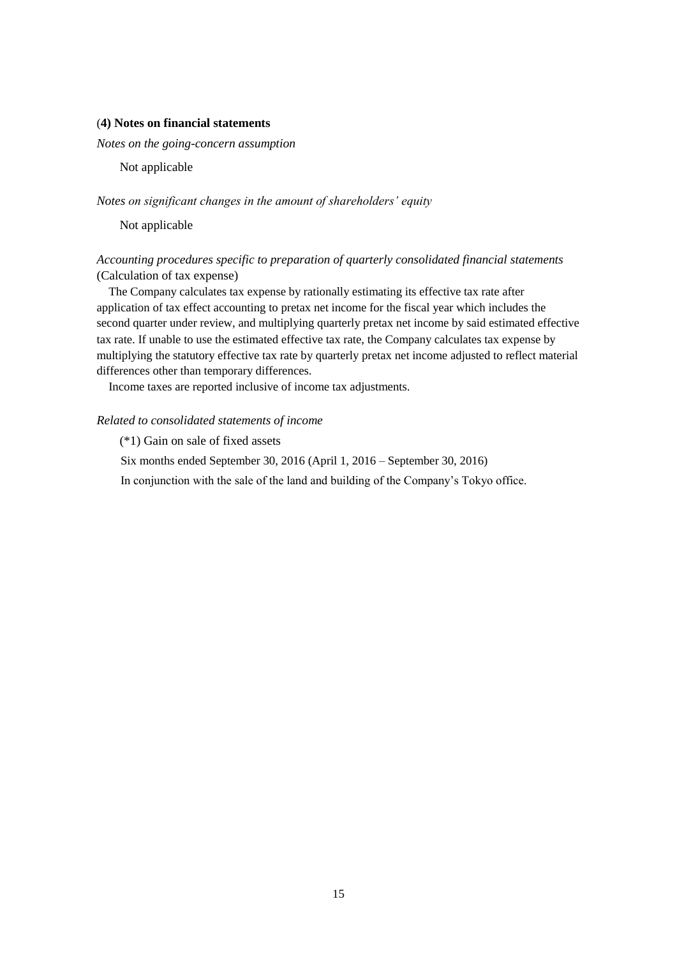### (**4) Notes on financial statements**

*Notes on the going-concern assumption* 

Not applicable

*Notes on significant changes in the amount of shareholders' equity*

Not applicable

# *Accounting procedures specific to preparation of quarterly consolidated financial statements* (Calculation of tax expense)

The Company calculates tax expense by rationally estimating its effective tax rate after application of tax effect accounting to pretax net income for the fiscal year which includes the second quarter under review, and multiplying quarterly pretax net income by said estimated effective tax rate. If unable to use the estimated effective tax rate, the Company calculates tax expense by multiplying the statutory effective tax rate by quarterly pretax net income adjusted to reflect material differences other than temporary differences.

Income taxes are reported inclusive of income tax adjustments.

### *Related to consolidated statements of income*

(\*1) Gain on sale of fixed assets

Six months ended September 30, 2016 (April 1, 2016 – September 30, 2016)

In conjunction with the sale of the land and building of the Company's Tokyo office.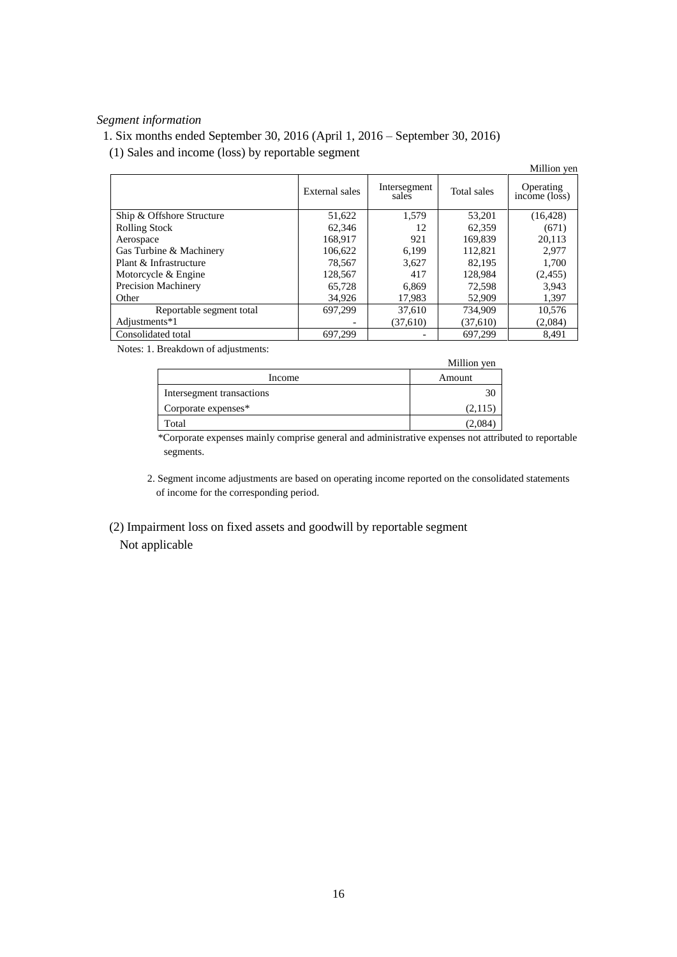# *Segment information*

# 1. Six months ended September 30, 2016 (April 1, 2016 – September 30, 2016)

(1) Sales and income (loss) by reportable segment

|                           |                |                       |             | Million yen                |
|---------------------------|----------------|-----------------------|-------------|----------------------------|
|                           | External sales | Intersegment<br>sales | Total sales | Operating<br>income (loss) |
| Ship & Offshore Structure | 51,622         | 1.579                 | 53.201      | (16, 428)                  |
| <b>Rolling Stock</b>      | 62.346         | 12                    | 62,359      | (671)                      |
| Aerospace                 | 168.917        | 921                   | 169,839     | 20.113                     |
| Gas Turbine & Machinery   | 106,622        | 6.199                 | 112,821     | 2.977                      |
| Plant & Infrastructure    | 78,567         | 3,627                 | 82.195      | 1,700                      |
| Motorcycle & Engine       | 128,567        | 417                   | 128,984     | (2,455)                    |
| Precision Machinery       | 65.728         | 6.869                 | 72,598      | 3,943                      |
| Other                     | 34,926         | 17,983                | 52,909      | 1,397                      |
| Reportable segment total  | 697.299        | 37,610                | 734,909     | 10,576                     |
| Adjustments*1             |                | (37,610)              | (37,610)    | (2,084)                    |
| Consolidated total        | 697,299        |                       | 697.299     | 8.491                      |

Notes: 1. Breakdown of adjustments:

|                           | Million yen |
|---------------------------|-------------|
| Income                    | Amount      |
| Intersegment transactions |             |
| Corporate expenses*       | (2,115)     |
| Total                     | 12,084.     |

\*Corporate expenses mainly comprise general and administrative expenses not attributed to reportable segments.

2. Segment income adjustments are based on operating income reported on the consolidated statements of income for the corresponding period.

 (2) Impairment loss on fixed assets and goodwill by reportable segment Not applicable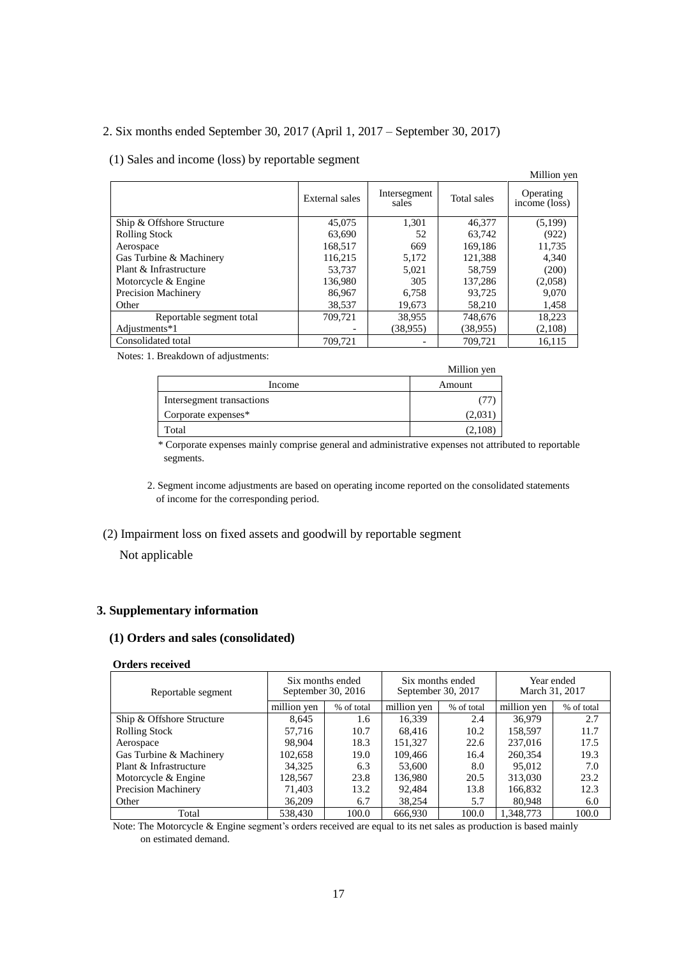# 2. Six months ended September 30, 2017 (April 1, 2017 – September 30, 2017)

### (1) Sales and income (loss) by reportable segment

|                           |                |                       |             | Million yen                |
|---------------------------|----------------|-----------------------|-------------|----------------------------|
|                           | External sales | Intersegment<br>sales | Total sales | Operating<br>income (loss) |
| Ship & Offshore Structure | 45,075         | 1,301                 | 46,377      | (5,199)                    |
| <b>Rolling Stock</b>      | 63,690         | 52                    | 63,742      | (922)                      |
| Aerospace                 | 168,517        | 669                   | 169,186     | 11,735                     |
| Gas Turbine & Machinery   | 116,215        | 5,172                 | 121,388     | 4,340                      |
| Plant & Infrastructure    | 53.737         | 5.021                 | 58.759      | (200)                      |
| Motorcycle & Engine       | 136.980        | 305                   | 137.286     | (2,058)                    |
| Precision Machinery       | 86,967         | 6,758                 | 93,725      | 9,070                      |
| Other                     | 38,537         | 19,673                | 58,210      | 1,458                      |
| Reportable segment total  | 709.721        | 38,955                | 748,676     | 18,223                     |
| Adjustments*1             |                | (38,955)              | (38,955)    | (2,108)                    |
| Consolidated total        | 709,721        |                       | 709,721     | 16,115                     |

Notes: 1. Breakdown of adjustments:

|                           | Million yen |
|---------------------------|-------------|
| Income                    | Amount      |
| Intersegment transactions |             |
| Corporate expenses*       | (2,031      |
| Total                     | (2,108      |

\* Corporate expenses mainly comprise general and administrative expenses not attributed to reportable segments.

2. Segment income adjustments are based on operating income reported on the consolidated statements of income for the corresponding period.

## (2) Impairment loss on fixed assets and goodwill by reportable segment

### Not applicable

### **3. Supplementary information**

### **(1) Orders and sales (consolidated)**

### **Orders received**

| Reportable segment        | September 30, 2016 | Six months ended | September 30, 2017 | Six months ended | March 31, 2017 | Year ended |
|---------------------------|--------------------|------------------|--------------------|------------------|----------------|------------|
|                           | million yen        | % of total       | million yen        | % of total       | million yen    | % of total |
| Ship & Offshore Structure | 8.645              | 1.6              | 16.339             | 2.4              | 36.979         | 2.7        |
| <b>Rolling Stock</b>      | 57.716             | 10.7             | 68.416             | 10.2             | 158,597        | 11.7       |
| Aerospace                 | 98.904             | 18.3             | 151,327            | 22.6             | 237,016        | 17.5       |
| Gas Turbine & Machinery   | 102,658            | 19.0             | 109.466            | 16.4             | 260,354        | 19.3       |
| Plant & Infrastructure    | 34,325             | 6.3              | 53,600             | 8.0              | 95,012         | 7.0        |
| Motorcycle & Engine       | 128.567            | 23.8             | 136,980            | 20.5             | 313,030        | 23.2       |
| Precision Machinery       | 71,403             | 13.2             | 92.484             | 13.8             | 166,832        | 12.3       |
| Other                     | 36,209             | 6.7              | 38.254             | 5.7              | 80,948         | 6.0        |
| Total                     | 538,430            | 100.0            | 666.930            | 100.0            | 1.348.773      | 100.0      |

Note: The Motorcycle & Engine segment's orders received are equal to its net sales as production is based mainly on estimated demand.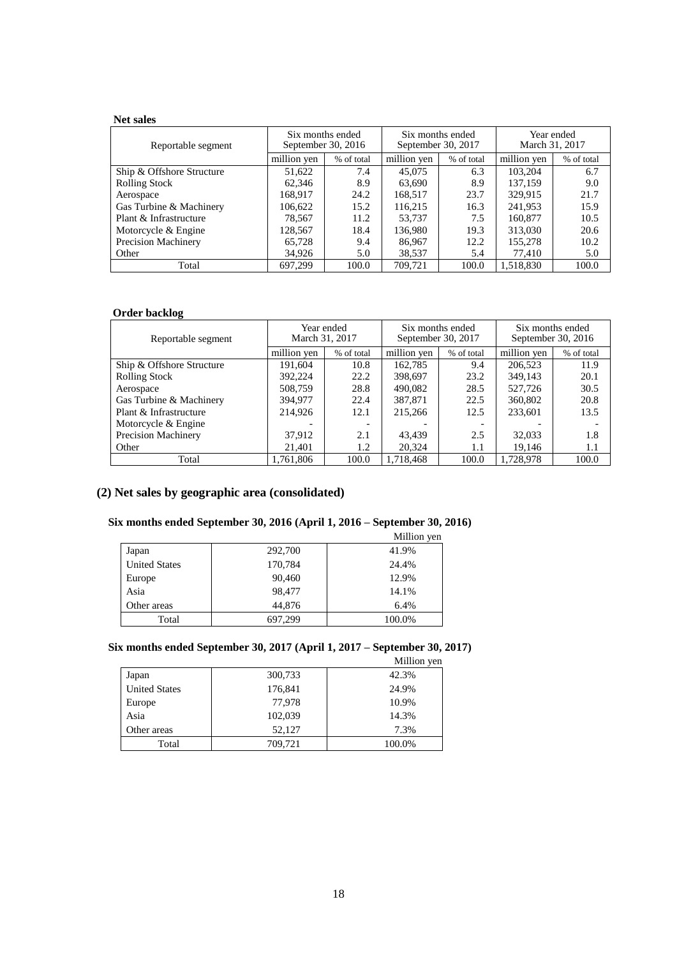## **Net sales**

| Reportable segment        | Six months ended | September 30, 2016 | Six months ended<br>September 30, 2017 |            | March 31, 2017 | Year ended |
|---------------------------|------------------|--------------------|----------------------------------------|------------|----------------|------------|
|                           | million yen      | % of total         | million yen                            | % of total | million yen    | % of total |
| Ship & Offshore Structure | 51,622           | 7.4                | 45,075                                 | 6.3        | 103.204        | 6.7        |
| <b>Rolling Stock</b>      | 62,346           | 8.9                | 63.690                                 | 8.9        | 137.159        | 9.0        |
| Aerospace                 | 168.917          | 24.2               | 168.517                                | 23.7       | 329.915        | 21.7       |
| Gas Turbine & Machinery   | 106.622          | 15.2               | 116,215                                | 16.3       | 241,953        | 15.9       |
| Plant & Infrastructure    | 78,567           | 11.2               | 53.737                                 | 7.5        | 160,877        | 10.5       |
| Motorcycle & Engine       | 128.567          | 18.4               | 136.980                                | 19.3       | 313,030        | 20.6       |
| Precision Machinery       | 65,728           | 9.4                | 86,967                                 | 12.2       | 155,278        | 10.2       |
| Other                     | 34.926           | 5.0                | 38,537                                 | 5.4        | 77.410         | 5.0        |
| Total                     | 697.299          | 100.0              | 709.721                                | 100.0      | 1,518,830      | 100.0      |

### **Order backlog**

| Reportable segment         | March 31, 2017 | Year ended | September 30, 2017 | Six months ended | Six months ended | September 30, $2016$ |
|----------------------------|----------------|------------|--------------------|------------------|------------------|----------------------|
|                            | million yen    | % of total | million yen        | % of total       | million ven      | % of total           |
| Ship & Offshore Structure  | 191.604        | 10.8       | 162.785            | 9.4              | 206,523          | 11.9                 |
| <b>Rolling Stock</b>       | 392,224        | 22.2       | 398,697            | 23.2             | 349,143          | 20.1                 |
| Aerospace                  | 508,759        | 28.8       | 490,082            | 28.5             | 527,726          | 30.5                 |
| Gas Turbine & Machinery    | 394,977        | 22.4       | 387,871            | 22.5             | 360,802          | 20.8                 |
| Plant & Infrastructure     | 214,926        | 12.1       | 215,266            | 12.5             | 233,601          | 13.5                 |
| Motorcycle & Engine        |                |            |                    |                  |                  |                      |
| <b>Precision Machinery</b> | 37.912         | 2.1        | 43.439             | 2.5              | 32,033           | 1.8                  |
| Other                      | 21,401         | 1.2        | 20,324             | 1.1              | 19.146           | 1.1                  |
| Total                      | 1.761.806      | 100.0      | 1.718.468          | 100.0            | 1.728.978        | 100.0                |

# **(2) Net sales by geographic area (consolidated)**

# **Six months ended September 30, 2016 (April 1, 2016 – September 30, 2016)**

|                      |         | Million yen |
|----------------------|---------|-------------|
| Japan                | 292,700 | 41.9%       |
| <b>United States</b> | 170,784 | 24.4%       |
| Europe               | 90,460  | 12.9%       |
| Asia                 | 98,477  | 14.1%       |
| Other areas          | 44,876  | 6.4%        |
| Total                | 697,299 | 100.0%      |
|                      |         |             |

# **Six months ended September 30, 2017 (April 1, 2017 – September 30, 2017)**

|                      |         | Million yen |
|----------------------|---------|-------------|
| Japan                | 300,733 | 42.3%       |
| <b>United States</b> | 176,841 | 24.9%       |
| Europe               | 77,978  | 10.9%       |
| Asia                 | 102,039 | 14.3%       |
| Other areas          | 52,127  | 7.3%        |
| Total                | 709,721 | 100.0%      |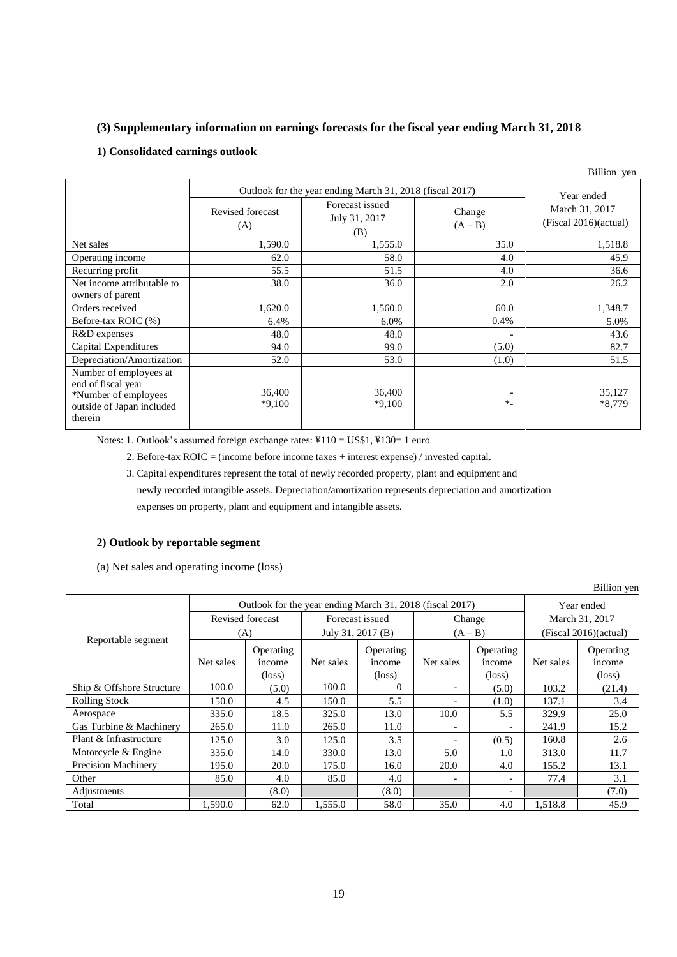## **(3) Supplementary information on earnings forecasts for the fiscal year ending March 31, 2018**

## **1) Consolidated earnings outlook**

|                                                                                                              |                                                          |                                         |                          | Billion yen                             |  |
|--------------------------------------------------------------------------------------------------------------|----------------------------------------------------------|-----------------------------------------|--------------------------|-----------------------------------------|--|
|                                                                                                              | Outlook for the year ending March 31, 2018 (fiscal 2017) | Year ended                              |                          |                                         |  |
|                                                                                                              | Revised forecast<br>(A)                                  | Forecast issued<br>July 31, 2017<br>(B) | Change<br>$(A - B)$      | March 31, 2017<br>(Fiscal 2016)(actual) |  |
| Net sales                                                                                                    | 1,590.0                                                  | 1,555.0                                 | 35.0                     | 1,518.8                                 |  |
| Operating income                                                                                             | 62.0                                                     | 58.0                                    | 4.0                      | 45.9                                    |  |
| Recurring profit                                                                                             | 55.5                                                     | 51.5                                    | 4.0                      | 36.6                                    |  |
| Net income attributable to<br>owners of parent                                                               | 38.0                                                     | 36.0                                    | 2.0                      | 26.2                                    |  |
| Orders received                                                                                              | 1,620.0                                                  | 1,560.0                                 | 60.0                     | 1,348.7                                 |  |
| Before-tax ROIC (%)                                                                                          | 6.4%                                                     | 6.0%                                    | 0.4%                     | 5.0%                                    |  |
| R&D expenses                                                                                                 | 48.0                                                     | 48.0                                    | $\overline{\phantom{0}}$ | 43.6                                    |  |
| Capital Expenditures                                                                                         | 94.0                                                     | 99.0                                    | (5.0)                    | 82.7                                    |  |
| Depreciation/Amortization                                                                                    | 52.0                                                     | 53.0                                    | (1.0)                    | 51.5                                    |  |
| Number of employees at<br>end of fiscal year<br>*Number of employees<br>outside of Japan included<br>therein | 36,400<br>$*9,100$                                       | 36,400<br>$*9,100$                      | $*$                      | 35,127<br>$*8,779$                      |  |

Notes: 1. Outlook's assumed foreign exchange rates: ¥110 = US\$1, ¥130= 1 euro

2. Before-tax ROIC = (income before income taxes + interest expense) / invested capital.

3. Capital expenditures represent the total of newly recorded property, plant and equipment and

newly recorded intangible assets. Depreciation/amortization represents depreciation and amortization

expenses on property, plant and equipment and intangible assets.

### **2) Outlook by reportable segment**

(a) Net sales and operating income (loss)

|                            |                                                          |                                        |                   |                                        |           |                                        |                       | Billion yen                            |
|----------------------------|----------------------------------------------------------|----------------------------------------|-------------------|----------------------------------------|-----------|----------------------------------------|-----------------------|----------------------------------------|
|                            | Outlook for the year ending March 31, 2018 (fiscal 2017) |                                        |                   |                                        |           | Year ended                             |                       |                                        |
| Reportable segment         | Revised forecast                                         |                                        | Forecast issued   |                                        | Change    |                                        | March 31, 2017        |                                        |
|                            | (A)                                                      |                                        | July 31, 2017 (B) |                                        | $(A - B)$ |                                        | (Fiscal 2016)(actual) |                                        |
|                            | Net sales                                                | Operating<br>income<br>$(\text{loss})$ | Net sales         | Operating<br>income<br>$(\text{loss})$ | Net sales | Operating<br>income<br>$(\text{loss})$ | Net sales             | Operating<br>income<br>$(\text{loss})$ |
| Ship & Offshore Structure  | 100.0                                                    | (5.0)                                  | 100.0             | $\Omega$                               | -         | (5.0)                                  | 103.2                 | (21.4)                                 |
| <b>Rolling Stock</b>       | 150.0                                                    | 4.5                                    | 150.0             | 5.5                                    |           | (1.0)                                  | 137.1                 | 3.4                                    |
| Aerospace                  | 335.0                                                    | 18.5                                   | 325.0             | 13.0                                   | 10.0      | 5.5                                    | 329.9                 | 25.0                                   |
| Gas Turbine & Machinery    | 265.0                                                    | 11.0                                   | 265.0             | 11.0                                   |           | $\overline{a}$                         | 241.9                 | 15.2                                   |
| Plant & Infrastructure     | 125.0                                                    | 3.0                                    | 125.0             | 3.5                                    |           | (0.5)                                  | 160.8                 | 2.6                                    |
| Motorcycle & Engine        | 335.0                                                    | 14.0                                   | 330.0             | 13.0                                   | 5.0       | 1.0                                    | 313.0                 | 11.7                                   |
| <b>Precision Machinery</b> | 195.0                                                    | 20.0                                   | 175.0             | 16.0                                   | 20.0      | 4.0                                    | 155.2                 | 13.1                                   |
| Other                      | 85.0                                                     | 4.0                                    | 85.0              | 4.0                                    |           | $\overline{\phantom{a}}$               | 77.4                  | 3.1                                    |
| Adjustments                |                                                          | (8.0)                                  |                   | (8.0)                                  |           |                                        |                       | (7.0)                                  |
| Total                      | 1,590.0                                                  | 62.0                                   | 1,555.0           | 58.0                                   | 35.0      | 4.0                                    | 1,518.8               | 45.9                                   |